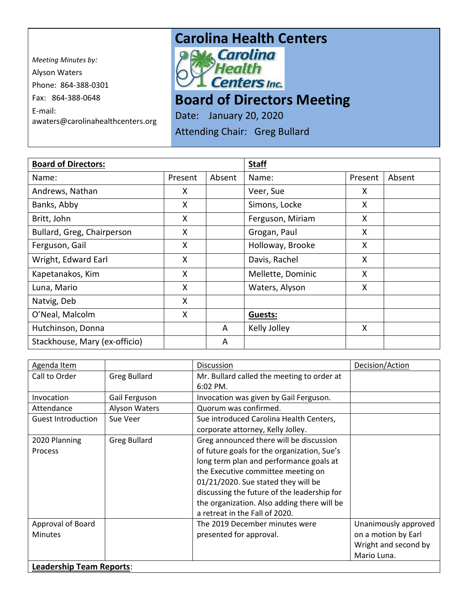*Meeting Minutes by:*  Alyson Waters Phone: 864-388-0301 Fax: 864-388-0648 E-mail: awaters@carolinahealthcenters.org

## **Carolina Health Centers**<br> **Pows Carolina**



**Board of Directors Meeting** 

Date: January 20, 2020

Attending Chair: Greg Bullard

| <b>Board of Directors:</b>    |         |        | <b>Staff</b>      |         |        |
|-------------------------------|---------|--------|-------------------|---------|--------|
| Name:                         | Present | Absent | Name:             | Present | Absent |
| Andrews, Nathan               | X       |        | Veer, Sue         | X       |        |
| Banks, Abby                   | X       |        | Simons, Locke     | Χ       |        |
| Britt, John                   | X       |        | Ferguson, Miriam  | X       |        |
| Bullard, Greg, Chairperson    | X       |        | Grogan, Paul      | X       |        |
| Ferguson, Gail                | X       |        | Holloway, Brooke  | X       |        |
| Wright, Edward Earl           | X       |        | Davis, Rachel     | X       |        |
| Kapetanakos, Kim              | X       |        | Mellette, Dominic | X       |        |
| Luna, Mario                   | X       |        | Waters, Alyson    | X       |        |
| Natvig, Deb                   | X       |        |                   |         |        |
| O'Neal, Malcolm               | X       |        | <b>Guests:</b>    |         |        |
| Hutchinson, Donna             |         | A      | Kelly Jolley      | X       |        |
| Stackhouse, Mary (ex-officio) |         | A      |                   |         |        |

| Agenda Item                     |                     | <b>Discussion</b>                           | Decision/Action      |
|---------------------------------|---------------------|---------------------------------------------|----------------------|
| Call to Order                   | <b>Greg Bullard</b> | Mr. Bullard called the meeting to order at  |                      |
|                                 |                     | $6:02$ PM.                                  |                      |
| Invocation                      | Gail Ferguson       | Invocation was given by Gail Ferguson.      |                      |
| Attendance                      | Alyson Waters       | Quorum was confirmed.                       |                      |
| <b>Guest Introduction</b>       | Sue Veer            | Sue introduced Carolina Health Centers,     |                      |
|                                 |                     | corporate attorney, Kelly Jolley.           |                      |
| 2020 Planning                   | <b>Greg Bullard</b> | Greg announced there will be discussion     |                      |
| <b>Process</b>                  |                     | of future goals for the organization, Sue's |                      |
|                                 |                     | long term plan and performance goals at     |                      |
|                                 |                     | the Executive committee meeting on          |                      |
|                                 |                     | 01/21/2020. Sue stated they will be         |                      |
|                                 |                     | discussing the future of the leadership for |                      |
|                                 |                     | the organization. Also adding there will be |                      |
|                                 |                     | a retreat in the Fall of 2020.              |                      |
| Approval of Board               |                     | The 2019 December minutes were              | Unanimously approved |
| <b>Minutes</b>                  |                     | presented for approval.                     | on a motion by Earl  |
|                                 |                     |                                             | Wright and second by |
|                                 |                     |                                             | Mario Luna.          |
| <b>Leadership Team Reports:</b> |                     |                                             |                      |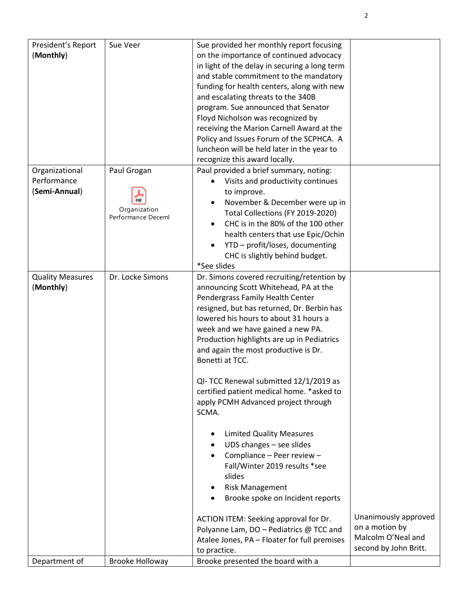| President's Report<br>(Monthly)                | Sue Veer                                                 | Sue provided her monthly report focusing<br>on the importance of continued advocacy<br>in light of the delay in securing a long term<br>and stable commitment to the mandatory<br>funding for health centers, along with new<br>and escalating threats to the 340B<br>program. Sue announced that Senator<br>Floyd Nicholson was recognized by<br>receiving the Marion Carnell Award at the<br>Policy and Issues Forum of the SCPHCA. A<br>luncheon will be held later in the year to<br>recognize this award locally.                                                                                                                                                                                                                                                                        |                                             |
|------------------------------------------------|----------------------------------------------------------|-----------------------------------------------------------------------------------------------------------------------------------------------------------------------------------------------------------------------------------------------------------------------------------------------------------------------------------------------------------------------------------------------------------------------------------------------------------------------------------------------------------------------------------------------------------------------------------------------------------------------------------------------------------------------------------------------------------------------------------------------------------------------------------------------|---------------------------------------------|
| Organizational<br>Performance<br>(Semi-Annual) | Paul Grogan<br>PDF<br>Organization<br>Performance Deceml | Paul provided a brief summary, noting:<br>Visits and productivity continues<br>to improve.<br>November & December were up in<br>Total Collections (FY 2019-2020)<br>CHC is in the 80% of the 100 other<br>health centers that use Epic/Ochin<br>YTD - profit/loses, documenting<br>CHC is slightly behind budget.<br>*See slides                                                                                                                                                                                                                                                                                                                                                                                                                                                              |                                             |
| <b>Quality Measures</b><br>(Monthly)           | Dr. Locke Simons                                         | Dr. Simons covered recruiting/retention by<br>announcing Scott Whitehead, PA at the<br>Pendergrass Family Health Center<br>resigned, but has returned, Dr. Berbin has<br>lowered his hours to about 31 hours a<br>week and we have gained a new PA.<br>Production highlights are up in Pediatrics<br>and again the most productive is Dr.<br>Bonetti at TCC.<br>QI- TCC Renewal submitted 12/1/2019 as<br>certified patient medical home. *asked to<br>apply PCMH Advanced project through<br>SCMA.<br><b>Limited Quality Measures</b><br>UDS changes - see slides<br>Compliance - Peer review -<br>Fall/Winter 2019 results *see<br>slides<br><b>Risk Management</b><br>Brooke spoke on Incident reports<br>ACTION ITEM: Seeking approval for Dr.<br>Polyanne Lam, DO - Pediatrics @ TCC and | Unanimously approved<br>on a motion by      |
| Department of                                  | Brooke Holloway                                          | Atalee Jones, PA - Floater for full premises<br>to practice.<br>Brooke presented the board with a                                                                                                                                                                                                                                                                                                                                                                                                                                                                                                                                                                                                                                                                                             | Malcolm O'Neal and<br>second by John Britt. |
|                                                |                                                          |                                                                                                                                                                                                                                                                                                                                                                                                                                                                                                                                                                                                                                                                                                                                                                                               |                                             |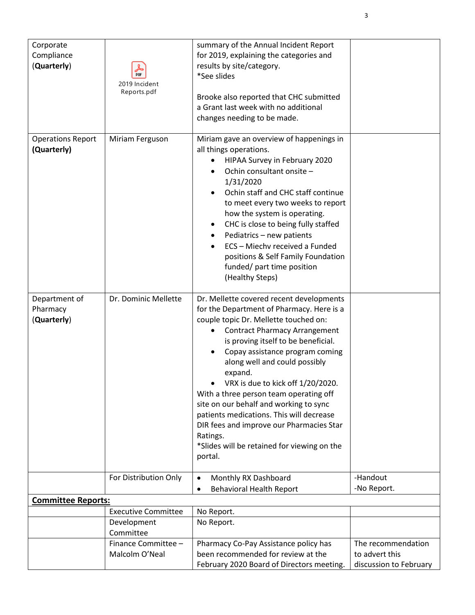| Corporate<br>Compliance<br>(Quarterly)   | PDF<br>2019 Incident<br>Reports.pdf | summary of the Annual Incident Report<br>for 2019, explaining the categories and<br>results by site/category.<br>*See slides<br>Brooke also reported that CHC submitted<br>a Grant last week with no additional<br>changes needing to be made.                                                                                                                                                                                                                                                                                                                                      |                         |
|------------------------------------------|-------------------------------------|-------------------------------------------------------------------------------------------------------------------------------------------------------------------------------------------------------------------------------------------------------------------------------------------------------------------------------------------------------------------------------------------------------------------------------------------------------------------------------------------------------------------------------------------------------------------------------------|-------------------------|
| <b>Operations Report</b><br>(Quarterly)  | Miriam Ferguson                     | Miriam gave an overview of happenings in<br>all things operations.<br>HIPAA Survey in February 2020<br>Ochin consultant onsite -<br>1/31/2020<br>Ochin staff and CHC staff continue<br>to meet every two weeks to report<br>how the system is operating.<br>CHC is close to being fully staffed<br>Pediatrics - new patients<br>ECS - Miechv received a Funded<br>positions & Self Family Foundation<br>funded/ part time position<br>(Healthy Steps)                                                                                                                               |                         |
| Department of<br>Pharmacy<br>(Quarterly) | Dr. Dominic Mellette                | Dr. Mellette covered recent developments<br>for the Department of Pharmacy. Here is a<br>couple topic Dr. Mellette touched on:<br><b>Contract Pharmacy Arrangement</b><br>is proving itself to be beneficial.<br>Copay assistance program coming<br>along well and could possibly<br>expand.<br>VRX is due to kick off 1/20/2020.<br>With a three person team operating off<br>site on our behalf and working to sync<br>patients medications. This will decrease<br>DIR fees and improve our Pharmacies Star<br>Ratings.<br>*Slides will be retained for viewing on the<br>portal. |                         |
|                                          | For Distribution Only               | Monthly RX Dashboard<br>٠<br><b>Behavioral Health Report</b><br>٠                                                                                                                                                                                                                                                                                                                                                                                                                                                                                                                   | -Handout<br>-No Report. |
| <b>Committee Reports:</b>                |                                     |                                                                                                                                                                                                                                                                                                                                                                                                                                                                                                                                                                                     |                         |
|                                          | <b>Executive Committee</b>          | No Report.                                                                                                                                                                                                                                                                                                                                                                                                                                                                                                                                                                          |                         |
|                                          | Development<br>Committee            | No Report.                                                                                                                                                                                                                                                                                                                                                                                                                                                                                                                                                                          |                         |
|                                          | Finance Committee -                 | Pharmacy Co-Pay Assistance policy has                                                                                                                                                                                                                                                                                                                                                                                                                                                                                                                                               | The recommendation      |
|                                          | Malcolm O'Neal                      | been recommended for review at the                                                                                                                                                                                                                                                                                                                                                                                                                                                                                                                                                  | to advert this          |
|                                          |                                     | February 2020 Board of Directors meeting.                                                                                                                                                                                                                                                                                                                                                                                                                                                                                                                                           | discussion to February  |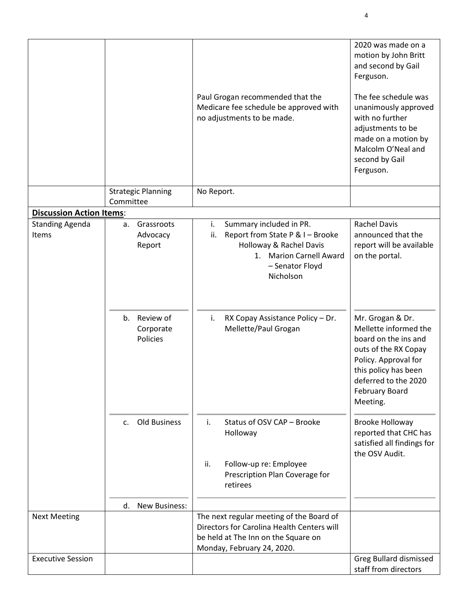|                                 |                                          | Paul Grogan recommended that the<br>Medicare fee schedule be approved with<br>no adjustments to be made.                                                       | 2020 was made on a<br>motion by John Britt<br>and second by Gail<br>Ferguson.<br>The fee schedule was<br>unanimously approved<br>with no further<br>adjustments to be<br>made on a motion by<br>Malcolm O'Neal and<br>second by Gail<br>Ferguson. |
|---------------------------------|------------------------------------------|----------------------------------------------------------------------------------------------------------------------------------------------------------------|---------------------------------------------------------------------------------------------------------------------------------------------------------------------------------------------------------------------------------------------------|
|                                 | <b>Strategic Planning</b><br>Committee   | No Report.                                                                                                                                                     |                                                                                                                                                                                                                                                   |
| <b>Discussion Action Items:</b> |                                          |                                                                                                                                                                |                                                                                                                                                                                                                                                   |
| <b>Standing Agenda</b><br>Items | Grassroots<br>а.<br>Advocacy<br>Report   | i.<br>Summary included in PR.<br>Report from State P & I - Brooke<br>ii.<br>Holloway & Rachel Davis<br>1. Marion Carnell Award<br>- Senator Floyd<br>Nicholson | <b>Rachel Davis</b><br>announced that the<br>report will be available<br>on the portal.                                                                                                                                                           |
|                                 | Review of<br>b.<br>Corporate<br>Policies | i.<br>RX Copay Assistance Policy - Dr.<br>Mellette/Paul Grogan                                                                                                 | Mr. Grogan & Dr.<br>Mellette informed the<br>board on the ins and<br>outs of the RX Copay<br>Policy. Approval for<br>this policy has been<br>deferred to the 2020<br><b>February Board</b><br>Meeting.                                            |
|                                 | <b>Old Business</b><br>C <sub>1</sub>    | Status of OSV CAP - Brooke<br>j.<br>Holloway                                                                                                                   | <b>Brooke Holloway</b><br>reported that CHC has<br>satisfied all findings for<br>the OSV Audit.                                                                                                                                                   |
|                                 |                                          | ii.<br>Follow-up re: Employee<br>Prescription Plan Coverage for<br>retirees                                                                                    |                                                                                                                                                                                                                                                   |
|                                 | New Business:<br>d.                      |                                                                                                                                                                |                                                                                                                                                                                                                                                   |
| <b>Next Meeting</b>             |                                          | The next regular meeting of the Board of<br>Directors for Carolina Health Centers will<br>be held at The Inn on the Square on<br>Monday, February 24, 2020.    |                                                                                                                                                                                                                                                   |
| <b>Executive Session</b>        |                                          |                                                                                                                                                                | Greg Bullard dismissed<br>staff from directors                                                                                                                                                                                                    |

4